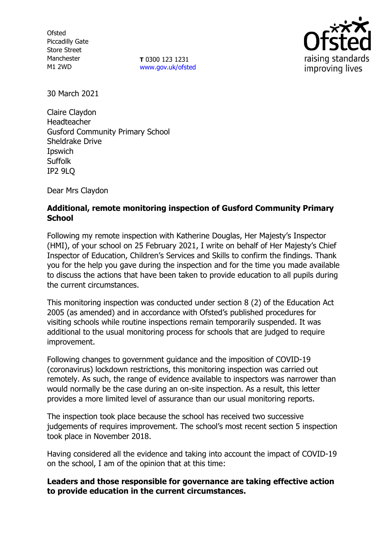**Ofsted** Piccadilly Gate Store Street Manchester M1 2WD

**T** 0300 123 1231 [www.gov.uk/ofsted](http://www.gov.uk/ofsted)



30 March 2021

Claire Claydon Headteacher Gusford Community Primary School Sheldrake Drive Ipswich Suffolk IP2 9LQ

Dear Mrs Claydon

# **Additional, remote monitoring inspection of Gusford Community Primary School**

Following my remote inspection with Katherine Douglas, Her Majesty's Inspector (HMI), of your school on 25 February 2021, I write on behalf of Her Majesty's Chief Inspector of Education, Children's Services and Skills to confirm the findings. Thank you for the help you gave during the inspection and for the time you made available to discuss the actions that have been taken to provide education to all pupils during the current circumstances.

This monitoring inspection was conducted under section 8 (2) of the Education Act 2005 (as amended) and in accordance with Ofsted's published procedures for visiting schools while routine inspections remain temporarily suspended. It was additional to the usual monitoring process for schools that are judged to require improvement.

Following changes to government guidance and the imposition of COVID-19 (coronavirus) lockdown restrictions, this monitoring inspection was carried out remotely. As such, the range of evidence available to inspectors was narrower than would normally be the case during an on-site inspection. As a result, this letter provides a more limited level of assurance than our usual monitoring reports.

The inspection took place because the school has received two successive judgements of requires improvement. The school's most recent section 5 inspection took place in November 2018.

Having considered all the evidence and taking into account the impact of COVID-19 on the school, I am of the opinion that at this time:

### **Leaders and those responsible for governance are taking effective action to provide education in the current circumstances.**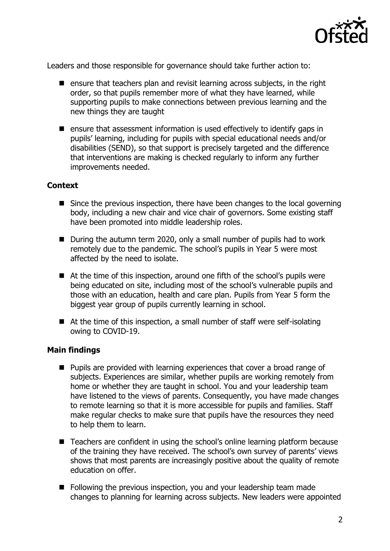

Leaders and those responsible for governance should take further action to:

- $\blacksquare$  ensure that teachers plan and revisit learning across subjects, in the right order, so that pupils remember more of what they have learned, while supporting pupils to make connections between previous learning and the new things they are taught
- $\blacksquare$  ensure that assessment information is used effectively to identify gaps in pupils' learning, including for pupils with special educational needs and/or disabilities (SEND), so that support is precisely targeted and the difference that interventions are making is checked regularly to inform any further improvements needed.

### **Context**

- Since the previous inspection, there have been changes to the local governing body, including a new chair and vice chair of governors. Some existing staff have been promoted into middle leadership roles.
- During the autumn term 2020, only a small number of pupils had to work remotely due to the pandemic. The school's pupils in Year 5 were most affected by the need to isolate.
- At the time of this inspection, around one fifth of the school's pupils were being educated on site, including most of the school's vulnerable pupils and those with an education, health and care plan. Pupils from Year 5 form the biggest year group of pupils currently learning in school.
- At the time of this inspection, a small number of staff were self-isolating owing to COVID-19.

#### **Main findings**

- **Pupils are provided with learning experiences that cover a broad range of** subjects. Experiences are similar, whether pupils are working remotely from home or whether they are taught in school. You and your leadership team have listened to the views of parents. Consequently, you have made changes to remote learning so that it is more accessible for pupils and families. Staff make regular checks to make sure that pupils have the resources they need to help them to learn.
- Teachers are confident in using the school's online learning platform because of the training they have received. The school's own survey of parents' views shows that most parents are increasingly positive about the quality of remote education on offer.
- Following the previous inspection, you and your leadership team made changes to planning for learning across subjects. New leaders were appointed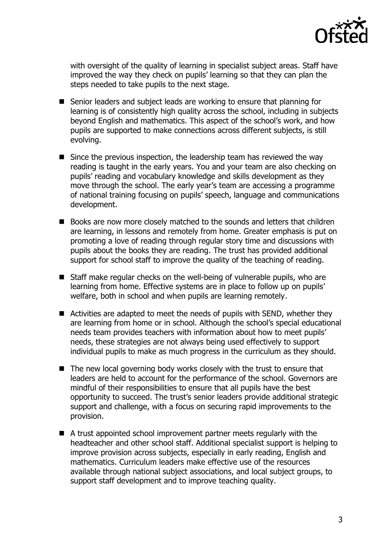

with oversight of the quality of learning in specialist subject areas. Staff have improved the way they check on pupils' learning so that they can plan the steps needed to take pupils to the next stage.

- Senior leaders and subject leads are working to ensure that planning for learning is of consistently high quality across the school, including in subjects beyond English and mathematics. This aspect of the school's work, and how pupils are supported to make connections across different subjects, is still evolving.
- Since the previous inspection, the leadership team has reviewed the way reading is taught in the early years. You and your team are also checking on pupils' reading and vocabulary knowledge and skills development as they move through the school. The early year's team are accessing a programme of national training focusing on pupils' speech, language and communications development.
- Books are now more closely matched to the sounds and letters that children are learning, in lessons and remotely from home. Greater emphasis is put on promoting a love of reading through regular story time and discussions with pupils about the books they are reading. The trust has provided additional support for school staff to improve the quality of the teaching of reading.
- Staff make regular checks on the well-being of vulnerable pupils, who are learning from home. Effective systems are in place to follow up on pupils' welfare, both in school and when pupils are learning remotely.
- Activities are adapted to meet the needs of pupils with SEND, whether they are learning from home or in school. Although the school's special educational needs team provides teachers with information about how to meet pupils' needs, these strategies are not always being used effectively to support individual pupils to make as much progress in the curriculum as they should.
- The new local governing body works closely with the trust to ensure that leaders are held to account for the performance of the school. Governors are mindful of their responsibilities to ensure that all pupils have the best opportunity to succeed. The trust's senior leaders provide additional strategic support and challenge, with a focus on securing rapid improvements to the provision.
- A trust appointed school improvement partner meets regularly with the headteacher and other school staff. Additional specialist support is helping to improve provision across subjects, especially in early reading, English and mathematics. Curriculum leaders make effective use of the resources available through national subject associations, and local subject groups, to support staff development and to improve teaching quality.